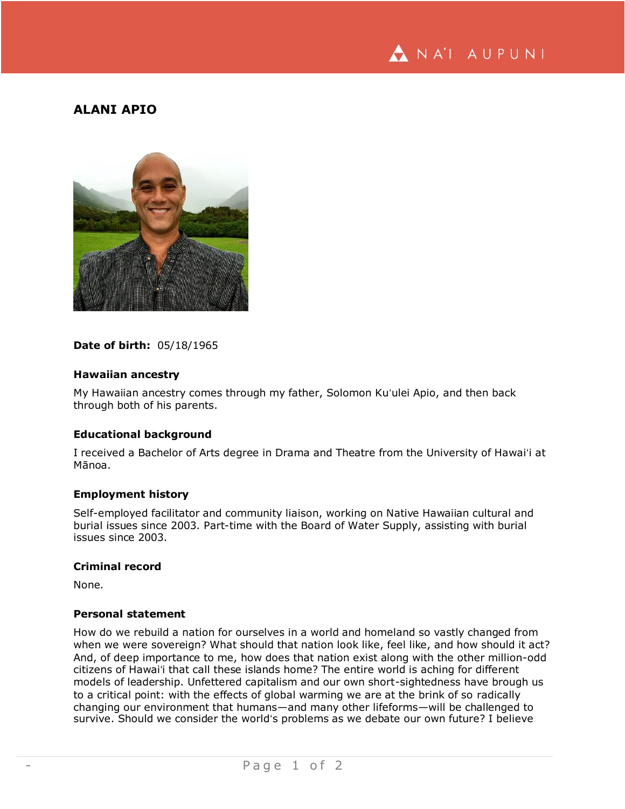

# **ALANI APIO**



#### **Date of birth:** 05/18/1965

#### **Hawaiian ancestry**

My Hawaiian ancestry comes through my father, Solomon Kuʻulei Apio, and then back through both of his parents.

#### **Educational background**

I received a Bachelor of Arts degree in Drama and Theatre from the University of Hawaiʻi at Mānoa.

### **Employment history**

Self-employed facilitator and community liaison, working on Native Hawaiian cultural and burial issues since 2003. Part-time with the Board of Water Supply, assisting with burial issues since 2003.

#### **Criminal record**

None.

### **Personal statement**

How do we rebuild a nation for ourselves in a world and homeland so vastly changed from when we were sovereign? What should that nation look like, feel like, and how should it act? And, of deep importance to me, how does that nation exist along with the other million-odd citizens of Hawaiʻi that call these islands home? The entire world is aching for different models of leadership. Unfettered capitalism and our own short-sightedness have brough us to a critical point: with the effects of global warming we are at the brink of so radically changing our environment that humans—and many other lifeforms—will be challenged to survive. Should we consider the worldʻs problems as we debate our own future? I believe